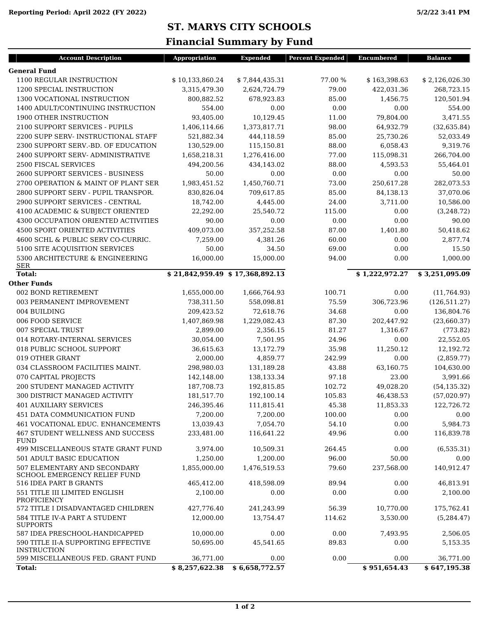| <b>General Fund</b><br>1100 REGULAR INSTRUCTION<br>\$10,133,860.24<br>77.00 %<br>\$7,844,435.31<br>\$163,398.63<br>1200 SPECIAL INSTRUCTION<br>3,315,479.30<br>2,624,724.79<br>79.00<br>422,031.36<br>1300 VOCATIONAL INSTRUCTION<br>800,882.52<br>678,923.83<br>85.00<br>1,456.75<br>1400 ADULT/CONTINUING INSTRUCTION<br>554.00<br>0.00<br>0.00<br>0.00<br>1900 OTHER INSTRUCTION<br>93,405.00<br>10,129.45<br>11.00<br>79,804.00<br>2100 SUPPORT SERVICES - PUPILS<br>1,406,114.66<br>1,373,817.71<br>98.00<br>64,932.79<br>2200 SUPP SERV- INSTRUCTIONAL STAFF<br>521,882.34<br>85.00<br>25,730.26<br>444,118.59<br>2300 SUPPORT SERV.-BD. OF EDUCATION<br>130,529.00<br>115,150.81<br>88.00<br>6,058.43<br>2400 SUPPORT SERV- ADMINISTRATIVE<br>1,658,218.31<br>1,276,416.00<br>77.00<br>115,098.31<br>2500 FISCAL SERVICES<br>88.00<br>4,593.53<br>494,200.56<br>434,143.02<br>2600 SUPPORT SERVICES - BUSINESS<br>50.00<br>0.00<br>0.00<br>0.00<br>2700 OPERATION & MAINT OF PLANT SER<br>1,983,451.52<br>1,450,760.71<br>73.00<br>250,617.28<br>2800 SUPPORT SERV - PUPIL TRANSPOR.<br>830,826.04<br>709,617.85<br>85.00<br>84,138.13<br>2900 SUPPORT SERVICES - CENTRAL<br>18,742.00<br>24.00<br>4,445.00<br>3,711.00<br>4100 ACADEMIC & SUBJECT ORIENTED<br>115.00<br>0.00<br>22,292.00<br>25,540.72<br>4300 OCCUPATION ORIENTED ACTIVITIES<br>90.00<br>0.00<br>0.00<br>0.00<br><b>4500 SPORT ORIENTED ACTIVITIES</b><br>409,073.00<br>357,252.58<br>87.00<br>1,401.80<br>4600 SCHL & PUBLIC SERV CO-CURRIC.<br>7,259.00<br>4,381.26<br>60.00<br>0.00 | <b>Balance</b> |
|-----------------------------------------------------------------------------------------------------------------------------------------------------------------------------------------------------------------------------------------------------------------------------------------------------------------------------------------------------------------------------------------------------------------------------------------------------------------------------------------------------------------------------------------------------------------------------------------------------------------------------------------------------------------------------------------------------------------------------------------------------------------------------------------------------------------------------------------------------------------------------------------------------------------------------------------------------------------------------------------------------------------------------------------------------------------------------------------------------------------------------------------------------------------------------------------------------------------------------------------------------------------------------------------------------------------------------------------------------------------------------------------------------------------------------------------------------------------------------------------------------------------------------------------------------------------|----------------|
|                                                                                                                                                                                                                                                                                                                                                                                                                                                                                                                                                                                                                                                                                                                                                                                                                                                                                                                                                                                                                                                                                                                                                                                                                                                                                                                                                                                                                                                                                                                                                                 |                |
|                                                                                                                                                                                                                                                                                                                                                                                                                                                                                                                                                                                                                                                                                                                                                                                                                                                                                                                                                                                                                                                                                                                                                                                                                                                                                                                                                                                                                                                                                                                                                                 | \$2,126,026.30 |
|                                                                                                                                                                                                                                                                                                                                                                                                                                                                                                                                                                                                                                                                                                                                                                                                                                                                                                                                                                                                                                                                                                                                                                                                                                                                                                                                                                                                                                                                                                                                                                 | 268,723.15     |
|                                                                                                                                                                                                                                                                                                                                                                                                                                                                                                                                                                                                                                                                                                                                                                                                                                                                                                                                                                                                                                                                                                                                                                                                                                                                                                                                                                                                                                                                                                                                                                 | 120,501.94     |
|                                                                                                                                                                                                                                                                                                                                                                                                                                                                                                                                                                                                                                                                                                                                                                                                                                                                                                                                                                                                                                                                                                                                                                                                                                                                                                                                                                                                                                                                                                                                                                 | 554.00         |
|                                                                                                                                                                                                                                                                                                                                                                                                                                                                                                                                                                                                                                                                                                                                                                                                                                                                                                                                                                                                                                                                                                                                                                                                                                                                                                                                                                                                                                                                                                                                                                 | 3,471.55       |
|                                                                                                                                                                                                                                                                                                                                                                                                                                                                                                                                                                                                                                                                                                                                                                                                                                                                                                                                                                                                                                                                                                                                                                                                                                                                                                                                                                                                                                                                                                                                                                 | (32, 635.84)   |
|                                                                                                                                                                                                                                                                                                                                                                                                                                                                                                                                                                                                                                                                                                                                                                                                                                                                                                                                                                                                                                                                                                                                                                                                                                                                                                                                                                                                                                                                                                                                                                 | 52,033.49      |
|                                                                                                                                                                                                                                                                                                                                                                                                                                                                                                                                                                                                                                                                                                                                                                                                                                                                                                                                                                                                                                                                                                                                                                                                                                                                                                                                                                                                                                                                                                                                                                 | 9,319.76       |
|                                                                                                                                                                                                                                                                                                                                                                                                                                                                                                                                                                                                                                                                                                                                                                                                                                                                                                                                                                                                                                                                                                                                                                                                                                                                                                                                                                                                                                                                                                                                                                 | 266,704.00     |
|                                                                                                                                                                                                                                                                                                                                                                                                                                                                                                                                                                                                                                                                                                                                                                                                                                                                                                                                                                                                                                                                                                                                                                                                                                                                                                                                                                                                                                                                                                                                                                 | 55,464.01      |
|                                                                                                                                                                                                                                                                                                                                                                                                                                                                                                                                                                                                                                                                                                                                                                                                                                                                                                                                                                                                                                                                                                                                                                                                                                                                                                                                                                                                                                                                                                                                                                 | 50.00          |
|                                                                                                                                                                                                                                                                                                                                                                                                                                                                                                                                                                                                                                                                                                                                                                                                                                                                                                                                                                                                                                                                                                                                                                                                                                                                                                                                                                                                                                                                                                                                                                 | 282,073.53     |
|                                                                                                                                                                                                                                                                                                                                                                                                                                                                                                                                                                                                                                                                                                                                                                                                                                                                                                                                                                                                                                                                                                                                                                                                                                                                                                                                                                                                                                                                                                                                                                 | 37,070.06      |
|                                                                                                                                                                                                                                                                                                                                                                                                                                                                                                                                                                                                                                                                                                                                                                                                                                                                                                                                                                                                                                                                                                                                                                                                                                                                                                                                                                                                                                                                                                                                                                 | 10,586.00      |
|                                                                                                                                                                                                                                                                                                                                                                                                                                                                                                                                                                                                                                                                                                                                                                                                                                                                                                                                                                                                                                                                                                                                                                                                                                                                                                                                                                                                                                                                                                                                                                 | (3, 248.72)    |
|                                                                                                                                                                                                                                                                                                                                                                                                                                                                                                                                                                                                                                                                                                                                                                                                                                                                                                                                                                                                                                                                                                                                                                                                                                                                                                                                                                                                                                                                                                                                                                 | 90.00          |
|                                                                                                                                                                                                                                                                                                                                                                                                                                                                                                                                                                                                                                                                                                                                                                                                                                                                                                                                                                                                                                                                                                                                                                                                                                                                                                                                                                                                                                                                                                                                                                 | 50,418.62      |
|                                                                                                                                                                                                                                                                                                                                                                                                                                                                                                                                                                                                                                                                                                                                                                                                                                                                                                                                                                                                                                                                                                                                                                                                                                                                                                                                                                                                                                                                                                                                                                 | 2,877.74       |
| 5100 SITE ACQUISITION SERVICES<br>50.00<br>34.50<br>69.00<br>0.00                                                                                                                                                                                                                                                                                                                                                                                                                                                                                                                                                                                                                                                                                                                                                                                                                                                                                                                                                                                                                                                                                                                                                                                                                                                                                                                                                                                                                                                                                               | 15.50          |
| 16,000.00<br>15,000.00<br>94.00<br>0.00<br>5300 ARCHITECTURE & ENGINEERING                                                                                                                                                                                                                                                                                                                                                                                                                                                                                                                                                                                                                                                                                                                                                                                                                                                                                                                                                                                                                                                                                                                                                                                                                                                                                                                                                                                                                                                                                      | 1,000.00       |
| <b>SER</b><br>\$21,842,959.49 \$17,368,892.13<br>\$1,222,972.27<br><b>Total:</b>                                                                                                                                                                                                                                                                                                                                                                                                                                                                                                                                                                                                                                                                                                                                                                                                                                                                                                                                                                                                                                                                                                                                                                                                                                                                                                                                                                                                                                                                                | \$3,251,095.09 |
| <b>Other Funds</b>                                                                                                                                                                                                                                                                                                                                                                                                                                                                                                                                                                                                                                                                                                                                                                                                                                                                                                                                                                                                                                                                                                                                                                                                                                                                                                                                                                                                                                                                                                                                              |                |
| 002 BOND RETIREMENT<br>1,655,000.00<br>1,666,764.93<br>100.71<br>0.00                                                                                                                                                                                                                                                                                                                                                                                                                                                                                                                                                                                                                                                                                                                                                                                                                                                                                                                                                                                                                                                                                                                                                                                                                                                                                                                                                                                                                                                                                           | (11, 764.93)   |
| 306,723.96<br>003 PERMANENT IMPROVEMENT<br>738,311.50<br>558,098.81<br>75.59                                                                                                                                                                                                                                                                                                                                                                                                                                                                                                                                                                                                                                                                                                                                                                                                                                                                                                                                                                                                                                                                                                                                                                                                                                                                                                                                                                                                                                                                                    | (126, 511.27)  |
| 004 BUILDING<br>209,423.52<br>72,618.76<br>34.68<br>0.00                                                                                                                                                                                                                                                                                                                                                                                                                                                                                                                                                                                                                                                                                                                                                                                                                                                                                                                                                                                                                                                                                                                                                                                                                                                                                                                                                                                                                                                                                                        | 136,804.76     |
| 006 FOOD SERVICE<br>1,407,869.98<br>1,229,082.43<br>87.30<br>202,447.92                                                                                                                                                                                                                                                                                                                                                                                                                                                                                                                                                                                                                                                                                                                                                                                                                                                                                                                                                                                                                                                                                                                                                                                                                                                                                                                                                                                                                                                                                         | (23,660.37)    |
| 007 SPECIAL TRUST<br>81.27<br>2,899.00<br>2,356.15<br>1,316.67                                                                                                                                                                                                                                                                                                                                                                                                                                                                                                                                                                                                                                                                                                                                                                                                                                                                                                                                                                                                                                                                                                                                                                                                                                                                                                                                                                                                                                                                                                  | (773.82)       |
| 24.96<br>014 ROTARY-INTERNAL SERVICES<br>30,054.00<br>7,501.95<br>0.00                                                                                                                                                                                                                                                                                                                                                                                                                                                                                                                                                                                                                                                                                                                                                                                                                                                                                                                                                                                                                                                                                                                                                                                                                                                                                                                                                                                                                                                                                          | 22,552.05      |
| 018 PUBLIC SCHOOL SUPPORT<br>35.98<br>11,250.12<br>36,615.63<br>13,172.79                                                                                                                                                                                                                                                                                                                                                                                                                                                                                                                                                                                                                                                                                                                                                                                                                                                                                                                                                                                                                                                                                                                                                                                                                                                                                                                                                                                                                                                                                       | 12,192.72      |
| 019 OTHER GRANT<br>242.99<br>2,000.00<br>4,859.77<br>0.00                                                                                                                                                                                                                                                                                                                                                                                                                                                                                                                                                                                                                                                                                                                                                                                                                                                                                                                                                                                                                                                                                                                                                                                                                                                                                                                                                                                                                                                                                                       | (2,859.77)     |
| 034 CLASSROOM FACILITIES MAINT.<br>298,980.03<br>131,189.28<br>43.88<br>63,160.75                                                                                                                                                                                                                                                                                                                                                                                                                                                                                                                                                                                                                                                                                                                                                                                                                                                                                                                                                                                                                                                                                                                                                                                                                                                                                                                                                                                                                                                                               | 104,630.00     |
| 070 CAPITAL PROJECTS<br>142,148.00<br>138,133.34<br>97.18<br>23.00                                                                                                                                                                                                                                                                                                                                                                                                                                                                                                                                                                                                                                                                                                                                                                                                                                                                                                                                                                                                                                                                                                                                                                                                                                                                                                                                                                                                                                                                                              | 3,991.66       |
| 200 STUDENT MANAGED ACTIVITY<br>187,708.73<br>102.72<br>192,815.85<br>49,028.20                                                                                                                                                                                                                                                                                                                                                                                                                                                                                                                                                                                                                                                                                                                                                                                                                                                                                                                                                                                                                                                                                                                                                                                                                                                                                                                                                                                                                                                                                 | (54, 135.32)   |
| 300 DISTRICT MANAGED ACTIVITY<br>181,517.70<br>192,100.14<br>46,438.53<br>105.83                                                                                                                                                                                                                                                                                                                                                                                                                                                                                                                                                                                                                                                                                                                                                                                                                                                                                                                                                                                                                                                                                                                                                                                                                                                                                                                                                                                                                                                                                | (57,020.97)    |
| <b>401 AUXILIARY SERVICES</b><br>246,395.46<br>111,815.41<br>45.38<br>11,853.33                                                                                                                                                                                                                                                                                                                                                                                                                                                                                                                                                                                                                                                                                                                                                                                                                                                                                                                                                                                                                                                                                                                                                                                                                                                                                                                                                                                                                                                                                 | 122,726.72     |
| 7,200.00<br>7,200.00<br><b>451 DATA COMMUNICATION FUND</b><br>100.00<br>0.00                                                                                                                                                                                                                                                                                                                                                                                                                                                                                                                                                                                                                                                                                                                                                                                                                                                                                                                                                                                                                                                                                                                                                                                                                                                                                                                                                                                                                                                                                    | 0.00           |
| 7,054.70<br>54.10<br>0.00<br>461 VOCATIONAL EDUC. ENHANCEMENTS<br>13,039.43                                                                                                                                                                                                                                                                                                                                                                                                                                                                                                                                                                                                                                                                                                                                                                                                                                                                                                                                                                                                                                                                                                                                                                                                                                                                                                                                                                                                                                                                                     | 5,984.73       |
| 233,481.00<br>116,641.22<br>0.00<br><b>467 STUDENT WELLNESS AND SUCCESS</b><br>49.96<br><b>FUND</b>                                                                                                                                                                                                                                                                                                                                                                                                                                                                                                                                                                                                                                                                                                                                                                                                                                                                                                                                                                                                                                                                                                                                                                                                                                                                                                                                                                                                                                                             | 116,839.78     |
| 499 MISCELLANEOUS STATE GRANT FUND<br>3,974.00<br>10,509.31<br>264.45<br>0.00                                                                                                                                                                                                                                                                                                                                                                                                                                                                                                                                                                                                                                                                                                                                                                                                                                                                                                                                                                                                                                                                                                                                                                                                                                                                                                                                                                                                                                                                                   | (6, 535.31)    |
| 501 ADULT BASIC EDUCATION<br>96.00<br>1,250.00<br>1,200.00<br>50.00                                                                                                                                                                                                                                                                                                                                                                                                                                                                                                                                                                                                                                                                                                                                                                                                                                                                                                                                                                                                                                                                                                                                                                                                                                                                                                                                                                                                                                                                                             | 0.00           |
| 507 ELEMENTARY AND SECONDARY<br>1,855,000.00<br>1,476,519.53<br>79.60<br>237,568.00                                                                                                                                                                                                                                                                                                                                                                                                                                                                                                                                                                                                                                                                                                                                                                                                                                                                                                                                                                                                                                                                                                                                                                                                                                                                                                                                                                                                                                                                             | 140,912.47     |
| SCHOOL EMERGENCY RELIEF FUND                                                                                                                                                                                                                                                                                                                                                                                                                                                                                                                                                                                                                                                                                                                                                                                                                                                                                                                                                                                                                                                                                                                                                                                                                                                                                                                                                                                                                                                                                                                                    |                |
| 516 IDEA PART B GRANTS<br>465,412.00<br>418,598.09<br>89.94<br>0.00                                                                                                                                                                                                                                                                                                                                                                                                                                                                                                                                                                                                                                                                                                                                                                                                                                                                                                                                                                                                                                                                                                                                                                                                                                                                                                                                                                                                                                                                                             | 46,813.91      |
| 0.00<br>551 TITLE III LIMITED ENGLISH<br>2,100.00<br>0.00<br>0.00<br>PROFICIENCY                                                                                                                                                                                                                                                                                                                                                                                                                                                                                                                                                                                                                                                                                                                                                                                                                                                                                                                                                                                                                                                                                                                                                                                                                                                                                                                                                                                                                                                                                | 2,100.00       |
| 572 TITLE I DISADVANTAGED CHILDREN<br>241,243.99<br>56.39<br>10,770.00<br>427,776.40                                                                                                                                                                                                                                                                                                                                                                                                                                                                                                                                                                                                                                                                                                                                                                                                                                                                                                                                                                                                                                                                                                                                                                                                                                                                                                                                                                                                                                                                            | 175,762.41     |
| 584 TITLE IV-A PART A STUDENT<br>12,000.00<br>13,754.47<br>114.62<br>3,530.00<br><b>SUPPORTS</b>                                                                                                                                                                                                                                                                                                                                                                                                                                                                                                                                                                                                                                                                                                                                                                                                                                                                                                                                                                                                                                                                                                                                                                                                                                                                                                                                                                                                                                                                | (5,284.47)     |
| 587 IDEA PRESCHOOL-HANDICAPPED<br>10,000.00<br>0.00<br>0.00<br>7,493.95                                                                                                                                                                                                                                                                                                                                                                                                                                                                                                                                                                                                                                                                                                                                                                                                                                                                                                                                                                                                                                                                                                                                                                                                                                                                                                                                                                                                                                                                                         | 2,506.05       |
| 590 TITLE II-A SUPPORTING EFFECTIVE<br>50,695.00<br>45,541.65<br>89.83<br>0.00<br><b>INSTRUCTION</b>                                                                                                                                                                                                                                                                                                                                                                                                                                                                                                                                                                                                                                                                                                                                                                                                                                                                                                                                                                                                                                                                                                                                                                                                                                                                                                                                                                                                                                                            | 5,153.35       |
| 599 MISCELLANEOUS FED. GRANT FUND<br>36,771.00<br>0.00<br>0.00<br>0.00                                                                                                                                                                                                                                                                                                                                                                                                                                                                                                                                                                                                                                                                                                                                                                                                                                                                                                                                                                                                                                                                                                                                                                                                                                                                                                                                                                                                                                                                                          | 36,771.00      |
| \$6,658,772.57<br>\$8,257,622.38<br>\$951,654.43<br><b>Total:</b>                                                                                                                                                                                                                                                                                                                                                                                                                                                                                                                                                                                                                                                                                                                                                                                                                                                                                                                                                                                                                                                                                                                                                                                                                                                                                                                                                                                                                                                                                               | \$647,195.38   |